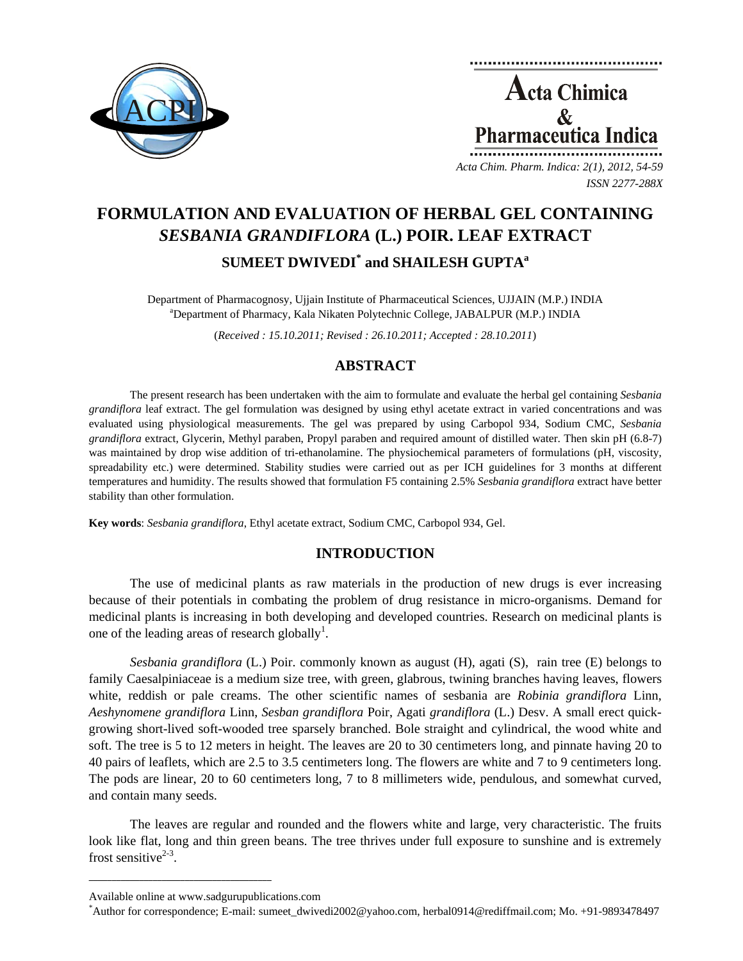

**Acta Chimica**  $\mathbf{\&}$ Pharmaceutica Ind *Acta Chim. Pharm. Indica: 2(1), 2012, 54-59*

*ISSN 2277-288X*

**FORMULATION AND EVALUATION OF HERBAL GEL CONTAINING**  *SESBANIA GRANDIFLORA* **(L.) POIR. LEAF EXTRACT**   $\mathbf{SUMEET\ DWIVEDI}^*$  and  $\mathbf{SHAILESH\ GUPTA}^*$ 

Department of Pharmacognosy, Ujjain Institute of Pharmaceutical Sciences, UJJAIN (M.P.) INDIA a Department of Pharmacy, Kala Nikaten Polytechnic College, JABALPUR (M.P.) INDIA

(*Received : 15.10.2011; Revised : 26.10.2011; Accepted : 28.10.2011*)

# **ABSTRACT**

The present research has been undertaken with the aim to formulate and evaluate the herbal gel containing *Sesbania grandiflora* leaf extract. The gel formulation was designed by using ethyl acetate extract in varied concentrations and was evaluated using physiological measurements. The gel was prepared by using Carbopol 934, Sodium CMC, *Sesbania grandiflora* extract, Glycerin, Methyl paraben, Propyl paraben and required amount of distilled water. Then skin pH (6.8-7) was maintained by drop wise addition of tri-ethanolamine. The physiochemical parameters of formulations (pH, viscosity, spreadability etc.) were determined. Stability studies were carried out as per ICH guidelines for 3 months at different temperatures and humidity. The results showed that formulation F5 containing 2.5% *Sesbania grandiflora* extract have better stability than other formulation.

**Key words**: *Sesbania grandiflora*, Ethyl acetate extract, Sodium CMC, Carbopol 934, Gel.

## **INTRODUCTION**

The use of medicinal plants as raw materials in the production of new drugs is ever increasing because of their potentials in combating the problem of drug resistance in micro-organisms. Demand for medicinal plants is increasing in both developing and developed countries. Research on medicinal plants is one of the leading areas of research globally<sup>1</sup>.

*Sesbania grandiflora* (L.) Poir. commonly known as august (H), agati (S), rain tree (E) belongs to family Caesalpiniaceae is a medium size tree, with green, glabrous, twining branches having leaves, flowers white, reddish or pale creams. The other scientific names of sesbania are *Robinia grandiflora* Linn, *Aeshynomene grandiflora* Linn, *Sesban grandiflora* Poir, Agati *grandiflora* (L.) Desv. A small erect quickgrowing short-lived soft-wooded tree sparsely branched. Bole straight and cylindrical, the wood white and soft. The tree is 5 to 12 meters in height. The leaves are 20 to 30 centimeters long, and pinnate having 20 to 40 pairs of leaflets, which are 2.5 to 3.5 centimeters long. The flowers are white and 7 to 9 centimeters long. The pods are linear, 20 to 60 centimeters long, 7 to 8 millimeters wide, pendulous, and somewhat curved, and contain many seeds.

The leaves are regular and rounded and the flowers white and large, very characteristic. The fruits look like flat, long and thin green beans. The tree thrives under full exposure to sunshine and is extremely frost sensitive $2-3$ .

**\_\_\_\_\_\_\_\_\_\_\_\_\_\_\_\_\_\_\_\_\_\_\_\_\_\_\_\_\_\_\_\_\_\_\_\_\_\_\_\_**

Available online at www.sadgurupublications.com \*

Author for correspondence; E-mail: sumeet\_dwivedi2002@yahoo.com, herbal0914@rediffmail.com; Mo. +91-9893478497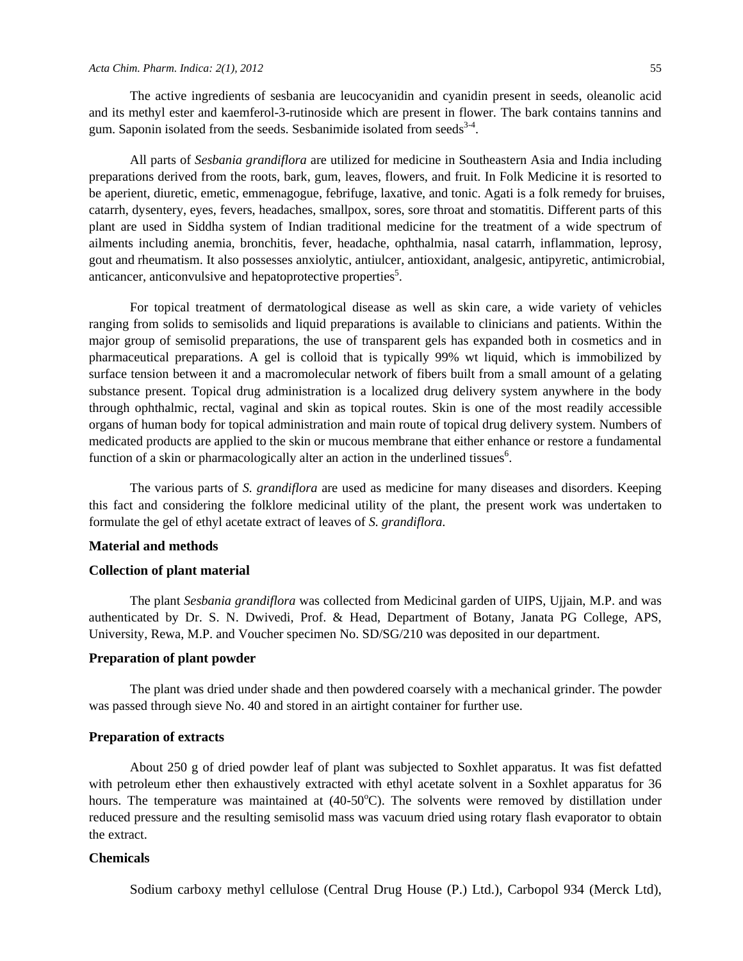The active ingredients of sesbania are leucocyanidin and cyanidin present in seeds, oleanolic acid and its methyl ester and kaemferol-3-rutinoside which are present in flower. The bark contains tannins and gum. Saponin isolated from the seeds. Sesbanimide isolated from seeds $34$ .

All parts of *Sesbania grandiflora* are utilized for medicine in Southeastern Asia and India including preparations derived from the roots, bark, gum, leaves, flowers, and fruit. In Folk Medicine it is resorted to be aperient, diuretic, emetic, emmenagogue, febrifuge, laxative, and tonic. Agati is a folk remedy for bruises, catarrh, dysentery, eyes, fevers, headaches, smallpox, sores, sore throat and stomatitis. Different parts of this plant are used in Siddha system of Indian traditional medicine for the treatment of a wide spectrum of ailments including anemia, bronchitis, fever, headache, ophthalmia, nasal catarrh, inflammation, leprosy, gout and rheumatism. It also possesses anxiolytic, antiulcer, antioxidant, analgesic, antipyretic, antimicrobial, anticancer, anticonvulsive and hepatoprotective properties<sup>5</sup>.

For topical treatment of dermatological disease as well as skin care, a wide variety of vehicles ranging from solids to semisolids and liquid preparations is available to clinicians and patients. Within the major group of semisolid preparations, the use of transparent gels has expanded both in cosmetics and in pharmaceutical preparations. A gel is colloid that is typically 99% wt liquid, which is immobilized by surface tension between it and a macromolecular network of fibers built from a small amount of a gelating substance present. Topical drug administration is a localized drug delivery system anywhere in the body through ophthalmic, rectal, vaginal and skin as topical routes. Skin is one of the most readily accessible organs of human body for topical administration and main route of topical drug delivery system. Numbers of medicated products are applied to the skin or mucous membrane that either enhance or restore a fundamental function of a skin or pharmacologically alter an action in the underlined tissues<sup>6</sup>.

The various parts of *S. grandiflora* are used as medicine for many diseases and disorders. Keeping this fact and considering the folklore medicinal utility of the plant, the present work was undertaken to formulate the gel of ethyl acetate extract of leaves of *S. grandiflora.*

#### **Material and methods**

#### **Collection of plant material**

The plant *Sesbania grandiflora* was collected from Medicinal garden of UIPS, Ujjain, M.P. and was authenticated by Dr. S. N. Dwivedi, Prof. & Head, Department of Botany, Janata PG College, APS, University, Rewa, M.P. and Voucher specimen No. SD/SG/210 was deposited in our department.

### **Preparation of plant powder**

The plant was dried under shade and then powdered coarsely with a mechanical grinder. The powder was passed through sieve No. 40 and stored in an airtight container for further use.

## **Preparation of extracts**

About 250 g of dried powder leaf of plant was subjected to Soxhlet apparatus. It was fist defatted with petroleum ether then exhaustively extracted with ethyl acetate solvent in a Soxhlet apparatus for 36 hours. The temperature was maintained at (40-50°C). The solvents were removed by distillation under reduced pressure and the resulting semisolid mass was vacuum dried using rotary flash evaporator to obtain the extract.

## **Chemicals**

Sodium carboxy methyl cellulose (Central Drug House (P.) Ltd.), Carbopol 934 (Merck Ltd),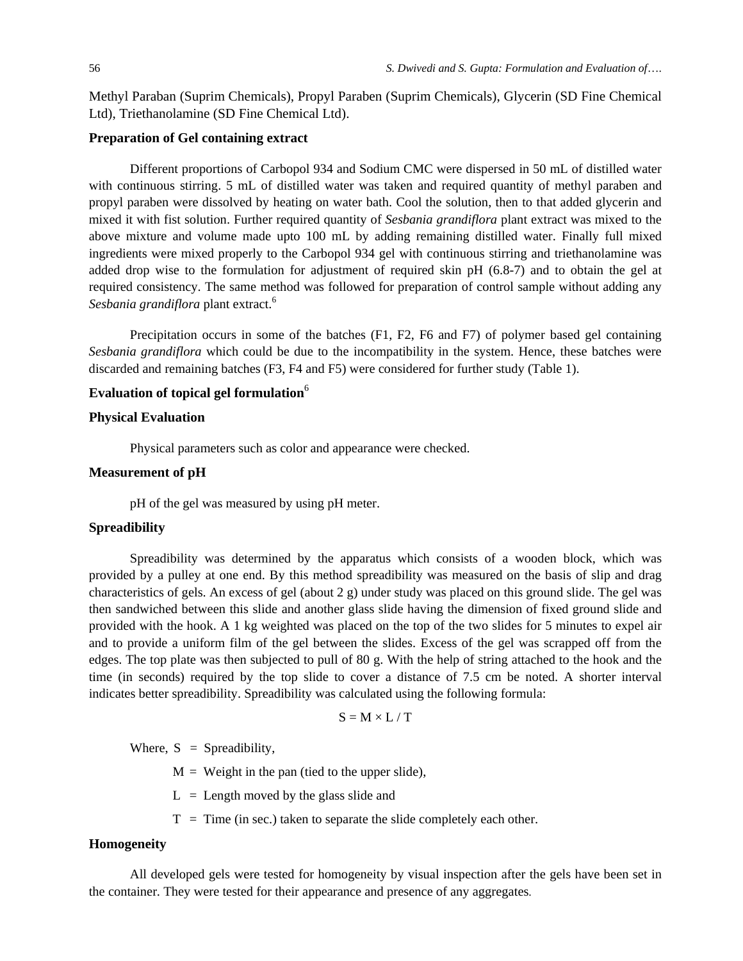Methyl Paraban (Suprim Chemicals), Propyl Paraben (Suprim Chemicals), Glycerin (SD Fine Chemical Ltd), Triethanolamine (SD Fine Chemical Ltd).

## **Preparation of Gel containing extract**

Different proportions of Carbopol 934 and Sodium CMC were dispersed in 50 mL of distilled water with continuous stirring. 5 mL of distilled water was taken and required quantity of methyl paraben and propyl paraben were dissolved by heating on water bath. Cool the solution, then to that added glycerin and mixed it with fist solution. Further required quantity of *Sesbania grandiflora* plant extract was mixed to the above mixture and volume made upto 100 mL by adding remaining distilled water. Finally full mixed ingredients were mixed properly to the Carbopol 934 gel with continuous stirring and triethanolamine was added drop wise to the formulation for adjustment of required skin pH (6.8-7) and to obtain the gel at required consistency. The same method was followed for preparation of control sample without adding any *Sesbania grandiflora* plant extract.6

Precipitation occurs in some of the batches (F1, F2, F6 and F7) of polymer based gel containing *Sesbania grandiflora* which could be due to the incompatibility in the system. Hence, these batches were discarded and remaining batches (F3, F4 and F5) were considered for further study (Table 1).

## **Evaluation of topical gel formulation**<sup>6</sup>

## **Physical Evaluation**

Physical parameters such as color and appearance were checked.

#### **Measurement of pH**

pH of the gel was measured by using pH meter.

## **Spreadibility**

Spreadibility was determined by the apparatus which consists of a wooden block, which was provided by a pulley at one end. By this method spreadibility was measured on the basis of slip and drag characteristics of gels. An excess of gel (about 2 g) under study was placed on this ground slide. The gel was then sandwiched between this slide and another glass slide having the dimension of fixed ground slide and provided with the hook. A 1 kg weighted was placed on the top of the two slides for 5 minutes to expel air and to provide a uniform film of the gel between the slides. Excess of the gel was scrapped off from the edges. The top plate was then subjected to pull of 80 g. With the help of string attached to the hook and the time (in seconds) required by the top slide to cover a distance of 7.5 cm be noted. A shorter interval indicates better spreadibility. Spreadibility was calculated using the following formula:

$$
S = M \times L / T
$$

Where,  $S =$  Spreadibility,

 $M =$  Weight in the pan (tied to the upper slide),

- $L =$  Length moved by the glass slide and
- $T =$ Time (in sec.) taken to separate the slide completely each other.

## **Homogeneity**

All developed gels were tested for homogeneity by visual inspection after the gels have been set in the container. They were tested for their appearance and presence of any aggregates.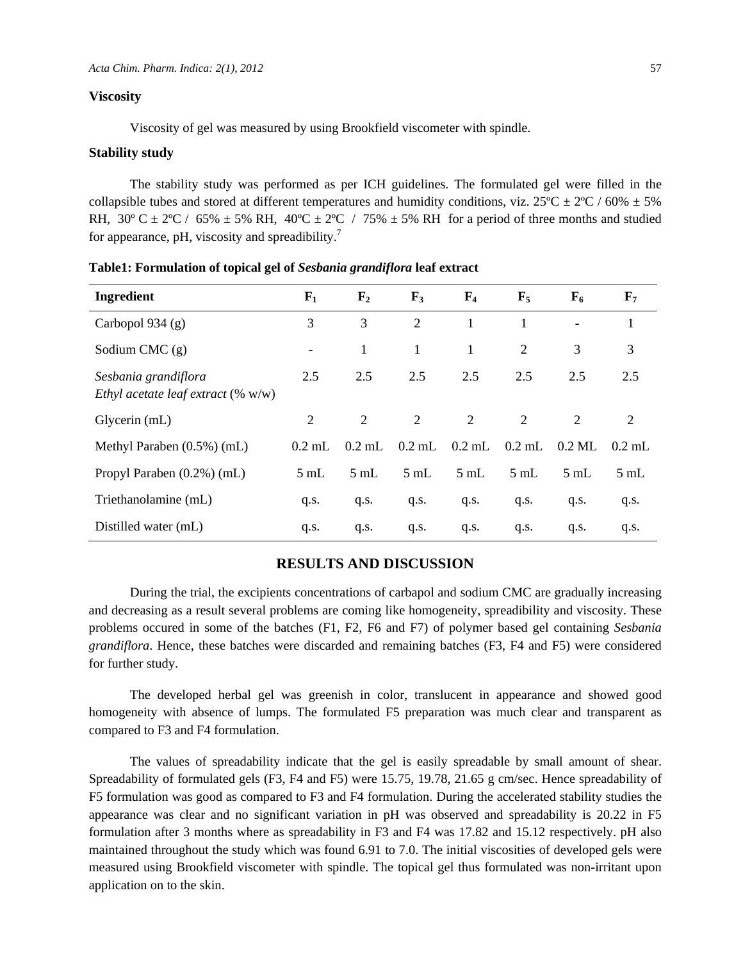## **Viscosity**

Viscosity of gel was measured by using Brookfield viscometer with spindle.

#### **Stability study**

The stability study was performed as per ICH guidelines. The formulated gel were filled in the collapsible tubes and stored at different temperatures and humidity conditions, viz.  $25^{\circ}C \pm 2^{\circ}C / 60\% \pm 5\%$ RH, 30° C  $\pm$  2°C / 65%  $\pm$  5% RH, 40°C  $\pm$  2°C / 75%  $\pm$  5% RH for a period of three months and studied for appearance, pH, viscosity and spreadibility.<sup>7</sup>

| Ingredient                                                    | $F_1$                    | $\mathbf{F}_2$ | $\mathbf{F}_3$ | $\mathbf{F}_4$ | $\mathbf{F}_5$ | $F_6$                    | $\mathbf{F}_{7}$ |
|---------------------------------------------------------------|--------------------------|----------------|----------------|----------------|----------------|--------------------------|------------------|
| Carbopol 934 $(g)$                                            | 3                        | 3              | 2              | 1              | 1              | $\overline{\phantom{a}}$ | 1                |
| Sodium CMC $(g)$                                              | $\overline{\phantom{0}}$ | 1              | 1              | 1              | 2              | 3                        | 3                |
| Sesbania grandiflora<br>Ethyl acetate leaf extract $(\% w/w)$ | 2.5                      | 2.5            | 2.5            | 2.5            | 2.5            | 2.5                      | 2.5              |
| Glycerin (mL)                                                 | 2                        | 2              | 2              | 2              | 2              | 2                        | 2                |
| Methyl Paraben $(0.5\%)$ (mL)                                 | $0.2$ mL                 | $0.2$ mL       | $0.2$ mL       | $0.2$ mL       | $0.2$ mL       | $0.2$ ML                 | $0.2$ mL         |
| Propyl Paraben (0.2%) (mL)                                    | $5 \text{ mL}$           | $5 \text{ mL}$ | $5 \text{ mL}$ | $5 \text{ mL}$ | $5 \text{ mL}$ | $5 \text{ mL}$           | $5 \text{ mL}$   |
| Triethanolamine (mL)                                          | q.s.                     | q.s.           | q.s.           | q.s.           | q.s.           | q.s.                     | q.s.             |
| Distilled water (mL)                                          | q.s.                     | q.s.           | q.s.           | q.s.           | q.s.           | q.s.                     | q.s.             |

**Table1: Formulation of topical gel of** *Sesbania grandiflora* **leaf extract** 

### **RESULTS AND DISCUSSION**

During the trial, the excipients concentrations of carbapol and sodium CMC are gradually increasing and decreasing as a result several problems are coming like homogeneity, spreadibility and viscosity. These problems occured in some of the batches (F1, F2, F6 and F7) of polymer based gel containing *Sesbania grandiflora*. Hence, these batches were discarded and remaining batches (F3, F4 and F5) were considered for further study.

The developed herbal gel was greenish in color, translucent in appearance and showed good homogeneity with absence of lumps. The formulated F5 preparation was much clear and transparent as compared to F3 and F4 formulation.

The values of spreadability indicate that the gel is easily spreadable by small amount of shear. Spreadability of formulated gels (F3, F4 and F5) were 15.75, 19.78, 21.65 g cm/sec. Hence spreadability of F5 formulation was good as compared to F3 and F4 formulation. During the accelerated stability studies the appearance was clear and no significant variation in pH was observed and spreadability is 20.22 in F5 formulation after 3 months where as spreadability in F3 and F4 was 17.82 and 15.12 respectively. pH also maintained throughout the study which was found 6.91 to 7.0. The initial viscosities of developed gels were measured using Brookfield viscometer with spindle. The topical gel thus formulated was non-irritant upon application on to the skin.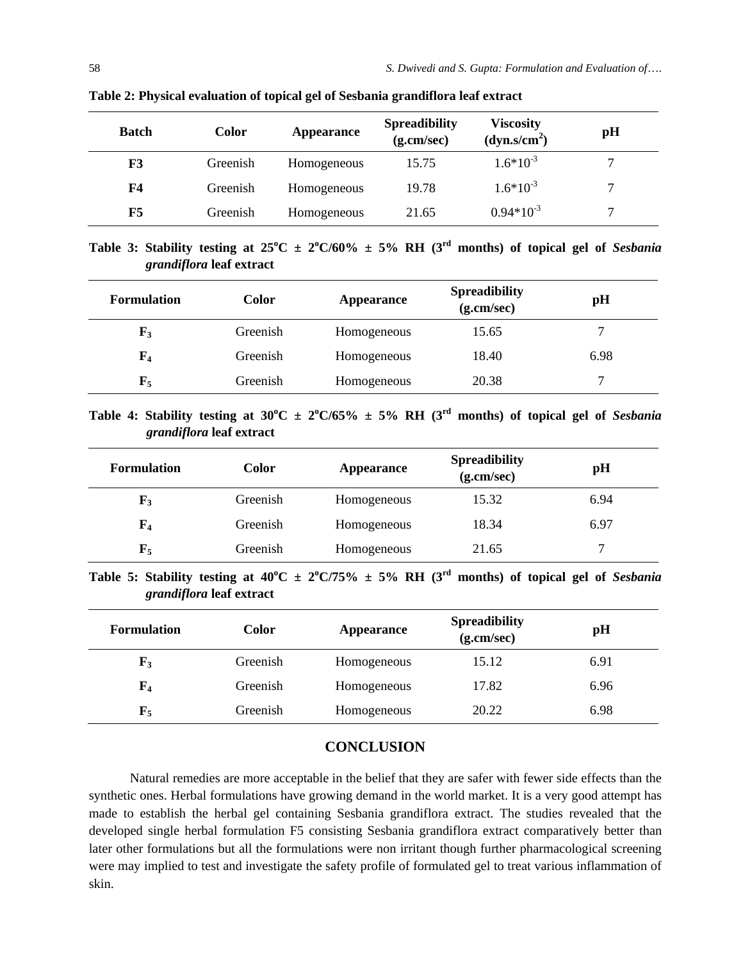| <b>Batch</b>   | <b>Color</b> | Appearance  | <b>Spreadibility</b><br>(g.cm/sec) | <b>Viscosity</b><br>(dyn.s/cm <sup>2</sup> ) | pH |
|----------------|--------------|-------------|------------------------------------|----------------------------------------------|----|
| F3             | Greenish     | Homogeneous | 15.75                              | $1.6*10^{-3}$                                |    |
| F <sub>4</sub> | Greenish     | Homogeneous | 19.78                              | $1.6*10^{-3}$                                | 7  |
| F5             | Greenish     | Homogeneous | 21.65                              | $0.94*10^{-3}$                               | 7  |

**Table 2: Physical evaluation of topical gel of Sesbania grandiflora leaf extract** 

**Table 3: Stability testing at**  $25^{\circ}C \pm 2^{\circ}C/60\% \pm 5\%$  **RH (3<sup>rd</sup> months) of topical gel of** *Sesbania grandiflora* **leaf extract** 

| <b>Formulation</b> | Color    | Appearance  | <b>Spreadibility</b><br>(g.cm/sec) | pH   |
|--------------------|----------|-------------|------------------------------------|------|
| $\mathbf{F}_3$     | Greenish | Homogeneous | 15.65                              |      |
| $\mathbf{F}_4$     | Greenish | Homogeneous | 18.40                              | 6.98 |
| ${\bf F_5}$        | Greenish | Homogeneous | 20.38                              |      |

Table 4: Stability testing at  $30^{\circ}$ C  $\pm$  2<sup>o</sup>C/65%  $\pm$  5% RH (3<sup>rd</sup> months) of topical gel of *Sesbania grandiflora* **leaf extract** 

| <b>Formulation</b> | <b>Color</b> | <b>Appearance</b> | <b>Spreadibility</b><br>(g.cm/sec) | pH   |
|--------------------|--------------|-------------------|------------------------------------|------|
| ${\bf F_3}$        | Greenish     | Homogeneous       | 15.32                              | 6.94 |
| $\mathbf{F}_4$     | Greenish     | Homogeneous       | 18.34                              | 6.97 |
| $\mathbf{F}_5$     | Greenish     | Homogeneous       | 21.65                              |      |

Table 5: Stability testing at  $40^{\circ}$ C  $\pm$  2<sup>o</sup>C/75%  $\pm$  5% RH (3<sup>rd</sup> months) of topical gel of *Sesbania grandiflora* **leaf extract** 

| <b>Formulation</b> | Color    | <b>Appearance</b> | <b>Spreadibility</b><br>(g.cm/sec) | pH   |
|--------------------|----------|-------------------|------------------------------------|------|
| $\mathbf{F}_3$     | Greenish | Homogeneous       | 15.12                              | 6.91 |
| $\mathbf{F}_4$     | Greenish | Homogeneous       | 17.82                              | 6.96 |
| $\mathbf{F}_5$     | Greenish | Homogeneous       | 20.22                              | 6.98 |

## **CONCLUSION**

Natural remedies are more acceptable in the belief that they are safer with fewer side effects than the synthetic ones. Herbal formulations have growing demand in the world market. It is a very good attempt has made to establish the herbal gel containing Sesbania grandiflora extract. The studies revealed that the developed single herbal formulation F5 consisting Sesbania grandiflora extract comparatively better than later other formulations but all the formulations were non irritant though further pharmacological screening were may implied to test and investigate the safety profile of formulated gel to treat various inflammation of skin.